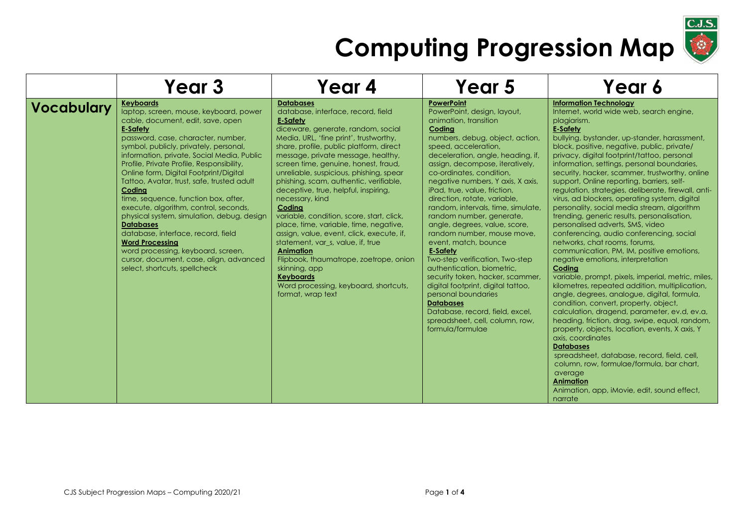

|                   | Year 3                                                                                                                                                                                                                                                                                                                                                                                                                                                                                                                                                                                                                                                                                                                               | Year 4                                                                                                                                                                                                                                                                                                                                                                                                                                                                                                                                                                                                                                                                                                                                                                                 | Year 5                                                                                                                                                                                                                                                                                                                                                                                                                                                                                                                                                                                                                                                                                                                                                                                                              | Year 6                                                                                                                                                                                                                                                                                                                                                                                                                                                                                                                                                                                                                                                                                                                                                                                                                                                                                                                                                                                                                                                                                                                                                                                                                                                                                                                                                                                                        |
|-------------------|--------------------------------------------------------------------------------------------------------------------------------------------------------------------------------------------------------------------------------------------------------------------------------------------------------------------------------------------------------------------------------------------------------------------------------------------------------------------------------------------------------------------------------------------------------------------------------------------------------------------------------------------------------------------------------------------------------------------------------------|----------------------------------------------------------------------------------------------------------------------------------------------------------------------------------------------------------------------------------------------------------------------------------------------------------------------------------------------------------------------------------------------------------------------------------------------------------------------------------------------------------------------------------------------------------------------------------------------------------------------------------------------------------------------------------------------------------------------------------------------------------------------------------------|---------------------------------------------------------------------------------------------------------------------------------------------------------------------------------------------------------------------------------------------------------------------------------------------------------------------------------------------------------------------------------------------------------------------------------------------------------------------------------------------------------------------------------------------------------------------------------------------------------------------------------------------------------------------------------------------------------------------------------------------------------------------------------------------------------------------|---------------------------------------------------------------------------------------------------------------------------------------------------------------------------------------------------------------------------------------------------------------------------------------------------------------------------------------------------------------------------------------------------------------------------------------------------------------------------------------------------------------------------------------------------------------------------------------------------------------------------------------------------------------------------------------------------------------------------------------------------------------------------------------------------------------------------------------------------------------------------------------------------------------------------------------------------------------------------------------------------------------------------------------------------------------------------------------------------------------------------------------------------------------------------------------------------------------------------------------------------------------------------------------------------------------------------------------------------------------------------------------------------------------|
| <b>Vocabulary</b> | <b>Keyboards</b><br>laptop, screen, mouse, keyboard, power<br>cable, document, edit, save, open<br><b>E-Safety</b><br>password, case, character, number,<br>symbol, publicly, privately, personal,<br>information, private, Social Media, Public<br>Profile, Private Profile, Responsibility,<br>Online form, Digital Footprint/Digital<br>Tattoo, Avatar, trust, safe, trusted adult<br>Coding<br>time, sequence, function box, after,<br>execute, algorithm, control, seconds,<br>physical system, simulation, debug, design<br><b>Databases</b><br>database, interface, record, field<br><b>Word Processing</b><br>word processing, keyboard, screen,<br>cursor, document, case, align, advanced<br>select, shortcuts, spellcheck | <b>Databases</b><br>database, interface, record, field<br><b>E-Safety</b><br>diceware, generate, random, social<br>Media, URL, 'fine print', trustworthy,<br>share, profile, public platform, direct<br>message, private message, healthy,<br>screen time, genuine, honest, fraud,<br>unreliable, suspicious, phishing, spear<br>phishing, scam, authentic, verifiable,<br>deceptive, true, helpful, inspiring,<br>necessary, kind<br>Coding<br>variable, condition, score, start, click,<br>place, time, variable, time, negative,<br>assign, value, event, click, execute, if,<br>statement, var s, value, if, true<br><b>Animation</b><br>Flipbook, thaumatrope, zoetrope, onion<br>skinning, app<br><b>Keyboards</b><br>Word processing, keyboard, shortcuts,<br>format, wrap text | <b>PowerPoint</b><br>PowerPoint, design, layout,<br>animation, transition<br>Coding<br>numbers, debug, object, action,<br>speed, acceleration,<br>deceleration, angle, heading, if,<br>assign, decompose, iteratively,<br>co-ordinates, condition,<br>negative numbers, Y axis, X axis,<br>iPad, true, value, friction,<br>direction, rotate, variable,<br>random, intervals, time, simulate,<br>random number, generate,<br>angle, degrees, value, score,<br>random number, mouse move,<br>event, match, bounce<br><b>E-Safety</b><br>Two-step verification, Two-step<br>authentication, biometric,<br>security token, hacker, scammer,<br>digital footprint, digital tattoo,<br>personal boundaries<br><b>Databases</b><br>Database, record, field, excel,<br>spreadsheet, cell, column, row,<br>formula/formulae | <b>Information Technology</b><br>Internet, world wide web, search engine,<br>plagiarism.<br><b>E-Safety</b><br>bullying, bystander, up-stander, harassment,<br>block, positive, negative, public, private/<br>privacy, digital footprint/tattoo, personal<br>information, settings, personal boundaries,<br>security, hacker, scammer, trustworthy, online<br>support, Online reporting, barriers, self-<br>regulation, strategies, deliberate, firewall, anti-<br>virus, ad blockers, operating system, digital<br>personality, social media stream, algorithm<br>trending, generic results, personalisation,<br>personalised adverts, SMS, video<br>conferencing, audio conferencing, social<br>networks, chat rooms, forums,<br>communication, PM, IM, positive emotions,<br>negative emotions, interpretation<br>Coding<br>variable, prompt, pixels, imperial, metric, miles,<br>kilometres, repeated addition, multiplication,<br>angle, degrees, analogue, digital, formula,<br>condition, convert, property, object,<br>calculation, dragend, parameter, ev.d, ev.a,<br>heading, friction, drag, swipe, equal, random,<br>property, objects, location, events, X axis, Y<br>axis, coordinates<br><b>Databases</b><br>spreadsheet, database, record, field, cell,<br>column, row, formulae/formula, bar chart,<br>average<br><b>Animation</b><br>Animation, app, iMovie, edit, sound effect,<br>narrate |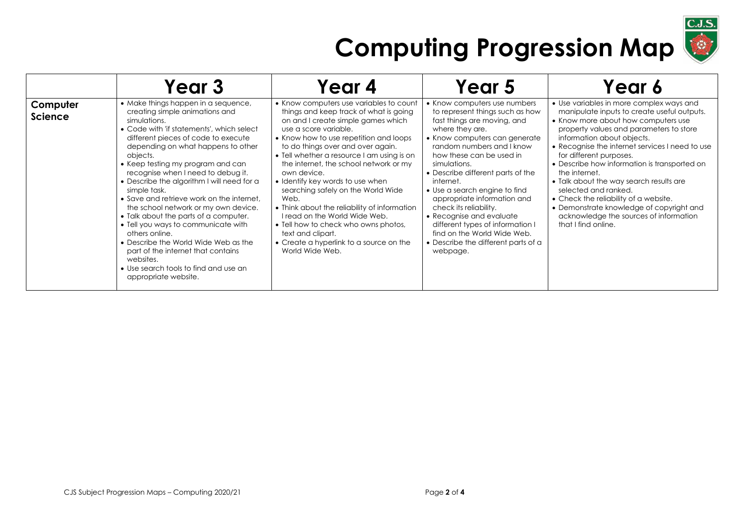

|                            | Year 3                                                                                                                                                                                                                                                                                                                                                                                                                                                                                                                                                                                                                                                                                                                  | Year 4                                                                                                                                                                                                                                                                                                                                                                                                                                                                                                                                                                                                                               | Year 5                                                                                                                                                                                                                                                                                                                                                                                                                                                                                                                    | Year 6                                                                                                                                                                                                                                                                                                                                                                                                                                                                                                                                                                          |
|----------------------------|-------------------------------------------------------------------------------------------------------------------------------------------------------------------------------------------------------------------------------------------------------------------------------------------------------------------------------------------------------------------------------------------------------------------------------------------------------------------------------------------------------------------------------------------------------------------------------------------------------------------------------------------------------------------------------------------------------------------------|--------------------------------------------------------------------------------------------------------------------------------------------------------------------------------------------------------------------------------------------------------------------------------------------------------------------------------------------------------------------------------------------------------------------------------------------------------------------------------------------------------------------------------------------------------------------------------------------------------------------------------------|---------------------------------------------------------------------------------------------------------------------------------------------------------------------------------------------------------------------------------------------------------------------------------------------------------------------------------------------------------------------------------------------------------------------------------------------------------------------------------------------------------------------------|---------------------------------------------------------------------------------------------------------------------------------------------------------------------------------------------------------------------------------------------------------------------------------------------------------------------------------------------------------------------------------------------------------------------------------------------------------------------------------------------------------------------------------------------------------------------------------|
| Computer<br><b>Science</b> | • Make things happen in a sequence,<br>creating simple animations and<br>simulations.<br>• Code with 'if statements', which select<br>different pieces of code to execute<br>depending on what happens to other<br>objects.<br>• Keep testing my program and can<br>recognise when I need to debug it.<br>• Describe the algorithm I will need for a<br>simple task.<br>• Save and retrieve work on the internet.<br>the school network or my own device.<br>• Talk about the parts of a computer.<br>• Tell you ways to communicate with<br>others online.<br>• Describe the World Wide Web as the<br>part of the internet that contains<br>websites.<br>• Use search tools to find and use an<br>appropriate website. | • Know computers use variables to count<br>things and keep track of what is going<br>on and I create simple games which<br>use a score variable.<br>• Know how to use repetition and loops<br>to do things over and over again.<br>• Tell whether a resource I am using is on<br>the internet, the school network or my<br>own device.<br>• Identify key words to use when<br>searching safely on the World Wide<br>Web.<br>• Think about the reliability of information<br>I read on the World Wide Web.<br>• Tell how to check who owns photos,<br>text and clipart.<br>• Create a hyperlink to a source on the<br>World Wide Web. | • Know computers use numbers<br>to represent things such as how<br>fast things are moving, and<br>where they are.<br>• Know computers can generate<br>random numbers and I know<br>how these can be used in<br>simulations.<br>• Describe different parts of the<br>internet.<br>• Use a search engine to find<br>appropriate information and<br>check its reliability.<br>• Recognise and evaluate<br>different types of information I<br>find on the World Wide Web.<br>• Describe the different parts of a<br>webpage. | • Use variables in more complex ways and<br>manipulate inputs to create useful outputs.<br>• Know more about how computers use<br>property values and parameters to store<br>information about objects.<br>• Recognise the internet services I need to use<br>for different purposes.<br>• Describe how information is transported on<br>the internet.<br>• Talk about the way search results are<br>selected and ranked.<br>• Check the reliability of a website.<br>• Demonstrate knowledge of copyright and<br>acknowledge the sources of information<br>that I find online. |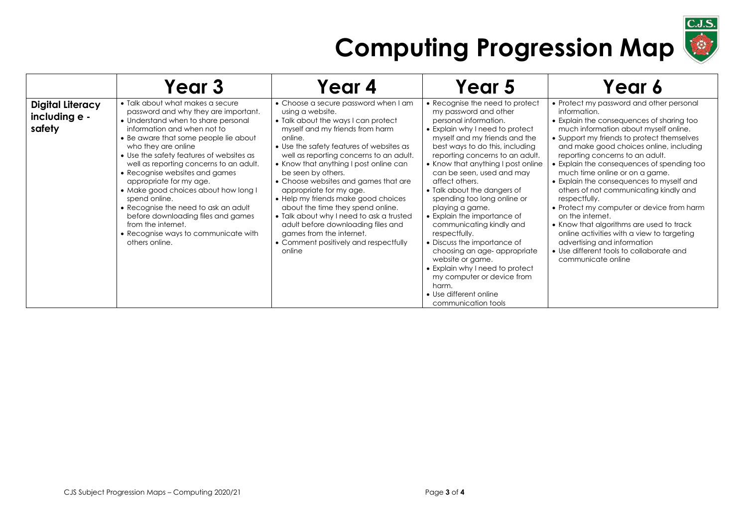

|                                                    | Year 3                                                                                                                                                                                                                                                                                                                                                                                                                                                                                                                                                                                    | Year 4                                                                                                                                                                                                                                                                                                                                                                                                                                                                                                                                                                                                               | Year 5                                                                                                                                                                                                                                                                                                                                                                                                                                                                                                                                                                                                                                                                                      | Year 6                                                                                                                                                                                                                                                                                                                                                                                                                                                                                                                                                                                                                                                                                                                        |
|----------------------------------------------------|-------------------------------------------------------------------------------------------------------------------------------------------------------------------------------------------------------------------------------------------------------------------------------------------------------------------------------------------------------------------------------------------------------------------------------------------------------------------------------------------------------------------------------------------------------------------------------------------|----------------------------------------------------------------------------------------------------------------------------------------------------------------------------------------------------------------------------------------------------------------------------------------------------------------------------------------------------------------------------------------------------------------------------------------------------------------------------------------------------------------------------------------------------------------------------------------------------------------------|---------------------------------------------------------------------------------------------------------------------------------------------------------------------------------------------------------------------------------------------------------------------------------------------------------------------------------------------------------------------------------------------------------------------------------------------------------------------------------------------------------------------------------------------------------------------------------------------------------------------------------------------------------------------------------------------|-------------------------------------------------------------------------------------------------------------------------------------------------------------------------------------------------------------------------------------------------------------------------------------------------------------------------------------------------------------------------------------------------------------------------------------------------------------------------------------------------------------------------------------------------------------------------------------------------------------------------------------------------------------------------------------------------------------------------------|
| <b>Digital Literacy</b><br>including e -<br>safety | • Talk about what makes a secure<br>password and why they are important.<br>• Understand when to share personal<br>information and when not to<br>• Be aware that some people lie about<br>who they are online<br>• Use the safety features of websites as<br>well as reporting concerns to an adult.<br>• Recognise websites and games<br>appropriate for my age.<br>• Make good choices about how long I<br>spend online.<br>• Recognise the need to ask an adult<br>before downloading files and games<br>from the internet.<br>• Recognise ways to communicate with<br>others online. | • Choose a secure password when I am<br>using a website.<br>• Talk about the ways I can protect<br>myself and my friends from harm<br>online.<br>• Use the safety features of websites as<br>well as reporting concerns to an adult.<br>• Know that anything I post online can<br>be seen by others.<br>• Choose websites and games that are<br>appropriate for my age.<br>• Help my friends make good choices<br>about the time they spend online.<br>• Talk about why I need to ask a trusted<br>adult before downloading files and<br>games from the internet.<br>• Comment positively and respectfully<br>online | • Recognise the need to protect<br>my password and other<br>personal information.<br>• Explain why I need to protect<br>myself and my friends and the<br>best ways to do this, including<br>reporting concerns to an adult.<br>• Know that anything I post online<br>can be seen, used and may<br>affect others.<br>• Talk about the dangers of<br>spending too long online or<br>playing a game.<br>• Explain the importance of<br>communicating kindly and<br>respectfully.<br>• Discuss the importance of<br>choosing an age- appropriate<br>website or game.<br>• Explain why I need to protect<br>my computer or device from<br>harm.<br>• Use different online<br>communication tools | • Protect my password and other personal<br>information.<br>• Explain the consequences of sharing too<br>much information about myself online.<br>• Support my friends to protect themselves<br>and make good choices online, including<br>reporting concerns to an adult.<br>• Explain the consequences of spending too<br>much time online or on a game.<br>• Explain the consequences to myself and<br>others of not communicating kindly and<br>respectfully.<br>• Protect my computer or device from harm<br>on the internet.<br>• Know that algorithms are used to track<br>online activities with a view to targeting<br>advertising and information<br>• Use different tools to collaborate and<br>communicate online |